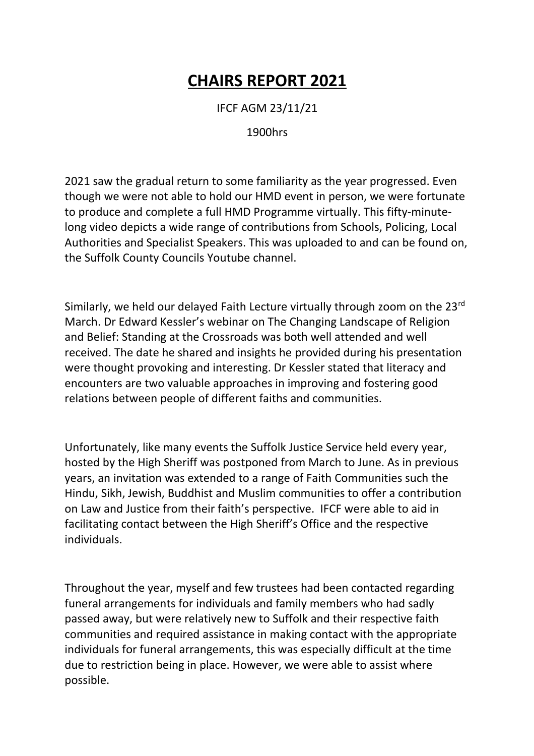## **CHAIRS REPORT 2021**

IFCF AGM 23/11/21

1900hrs

2021 saw the gradual return to some familiarity as the year progressed. Even though we were not able to hold our HMD event in person, we were fortunate to produce and complete a full HMD Programme virtually. This fifty-minutelong video depicts a wide range of contributions from Schools, Policing, Local Authorities and Specialist Speakers. This was uploaded to and can be found on, the Suffolk County Councils Youtube channel.

Similarly, we held our delayed Faith Lecture virtually through zoom on the 23rd March. Dr Edward Kessler's webinar on The Changing Landscape of Religion and Belief: Standing at the Crossroads was both well attended and well received. The date he shared and insights he provided during his presentation were thought provoking and interesting. Dr Kessler stated that literacy and encounters are two valuable approaches in improving and fostering good relations between people of different faiths and communities.

Unfortunately, like many events the Suffolk Justice Service held every year, hosted by the High Sheriff was postponed from March to June. As in previous years, an invitation was extended to a range of Faith Communities such the Hindu, Sikh, Jewish, Buddhist and Muslim communities to offer a contribution on Law and Justice from their faith's perspective. IFCF were able to aid in facilitating contact between the High Sheriff's Office and the respective individuals.

Throughout the year, myself and few trustees had been contacted regarding funeral arrangements for individuals and family members who had sadly passed away, but were relatively new to Suffolk and their respective faith communities and required assistance in making contact with the appropriate individuals for funeral arrangements, this was especially difficult at the time due to restriction being in place. However, we were able to assist where possible.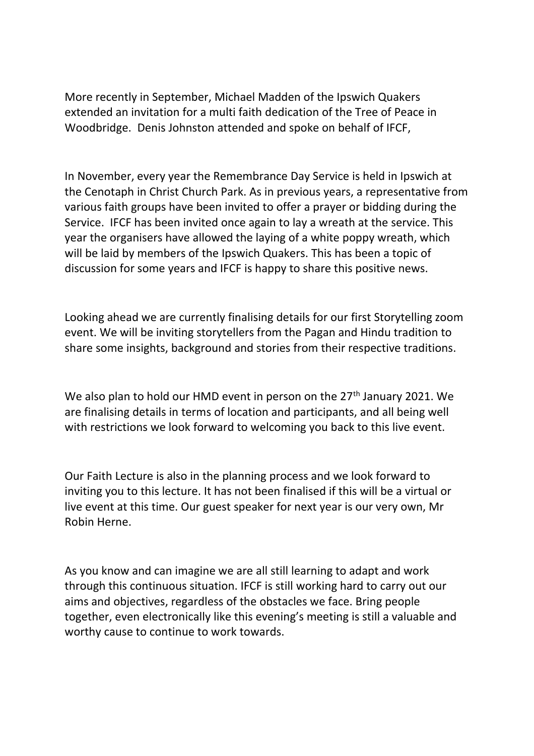More recently in September, Michael Madden of the Ipswich Quakers extended an invitation for a multi faith dedication of the Tree of Peace in Woodbridge. Denis Johnston attended and spoke on behalf of IFCF,

In November, every year the Remembrance Day Service is held in Ipswich at the Cenotaph in Christ Church Park. As in previous years, a representative from various faith groups have been invited to offer a prayer or bidding during the Service. IFCF has been invited once again to lay a wreath at the service. This year the organisers have allowed the laying of a white poppy wreath, which will be laid by members of the Ipswich Quakers. This has been a topic of discussion for some years and IFCF is happy to share this positive news.

Looking ahead we are currently finalising details for our first Storytelling zoom event. We will be inviting storytellers from the Pagan and Hindu tradition to share some insights, background and stories from their respective traditions.

We also plan to hold our HMD event in person on the 27<sup>th</sup> January 2021. We are finalising details in terms of location and participants, and all being well with restrictions we look forward to welcoming you back to this live event.

Our Faith Lecture is also in the planning process and we look forward to inviting you to this lecture. It has not been finalised if this will be a virtual or live event at this time. Our guest speaker for next year is our very own, Mr Robin Herne.

As you know and can imagine we are all still learning to adapt and work through this continuous situation. IFCF is still working hard to carry out our aims and objectives, regardless of the obstacles we face. Bring people together, even electronically like this evening's meeting is still a valuable and worthy cause to continue to work towards.